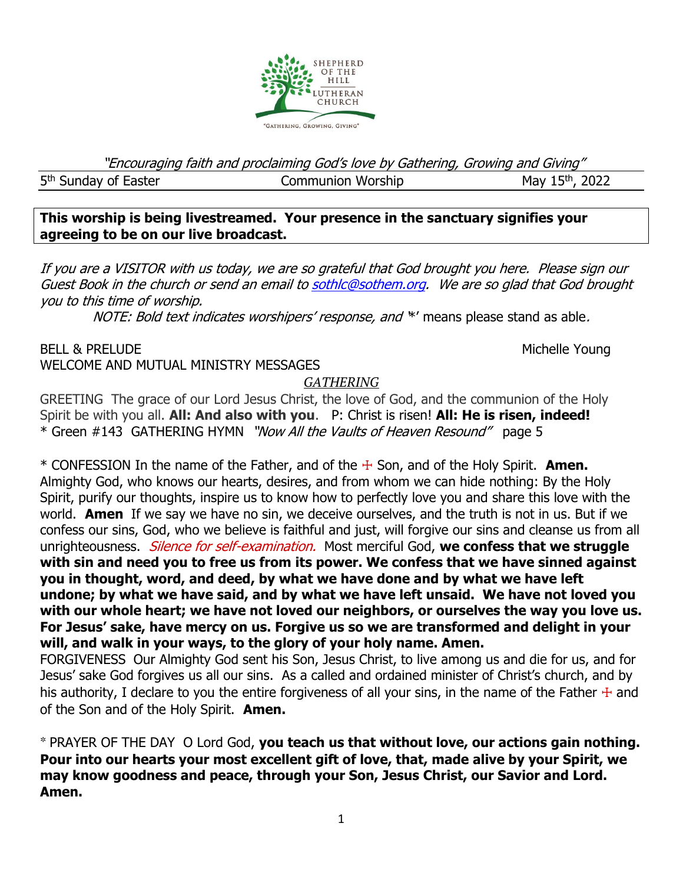

"Encouraging faith and proclaiming God's love by Gathering, Growing and Giving"

5<sup>th</sup> Sunday of Easter

Communion Worship  $M$ ay 15<sup>th</sup>, 2022

# **This worship is being livestreamed. Your presence in the sanctuary signifies your agreeing to be on our live broadcast.**

If you are a VISITOR with us today, we are so grateful that God brought you here. Please sign our Guest Book in the church or send an email t[o sothlc@sothem.org.](mailto:sothlc@sothem.org) We are so glad that God brought you to this time of worship.

NOTE: Bold text indicates worshipers' response, and \*' means please stand as able.

BELL & PRELUDE NOUNE ARE SERVICES AND THE SERVICES OF THE MICHELL AND MICHELL OUTLINE AND MICHELL OUTLINE AND MICHELL OUTLINE WELCOME AND MUTUAL MINISTRY MESSAGES

*GATHERING*

GREETING The grace of our Lord Jesus Christ, the love of God, and the communion of the Holy Spirit be with you all. **All: And also with you**. P: Christ is risen! **All: He is risen, indeed!** \* Green #143 GATHERING HYMN "*Now All the Vaults of Heaven Resound*" page 5

\* CONFESSION In the name of the Father, and of the ☩ Son, and of the Holy Spirit. **Amen.**  Almighty God, who knows our hearts, desires, and from whom we can hide nothing: By the Holy Spirit, purify our thoughts, inspire us to know how to perfectly love you and share this love with the world. **Amen** If we say we have no sin, we deceive ourselves, and the truth is not in us. But if we confess our sins, God, who we believe is faithful and just, will forgive our sins and cleanse us from all unrighteousness. Silence for self-examination. Most merciful God, **we confess that we struggle with sin and need you to free us from its power. We confess that we have sinned against you in thought, word, and deed, by what we have done and by what we have left undone; by what we have said, and by what we have left unsaid. We have not loved you with our whole heart; we have not loved our neighbors, or ourselves the way you love us. For Jesus' sake, have mercy on us. Forgive us so we are transformed and delight in your will, and walk in your ways, to the glory of your holy name. Amen.**

FORGIVENESSOur Almighty God sent his Son, Jesus Christ, to live among us and die for us, and for Jesus' sake God forgives us all our sins. As a called and ordained minister of Christ's church, and by his authority, I declare to you the entire forgiveness of all your sins, in the name of the Father  $+$  and of the Son and of the Holy Spirit. **Amen.**

\* PRAYER OF THE DAY O Lord God, **you teach us that without love, our actions gain nothing. Pour into our hearts your most excellent gift of love, that, made alive by your Spirit, we may know goodness and peace, through your Son, Jesus Christ, our Savior and Lord. Amen.**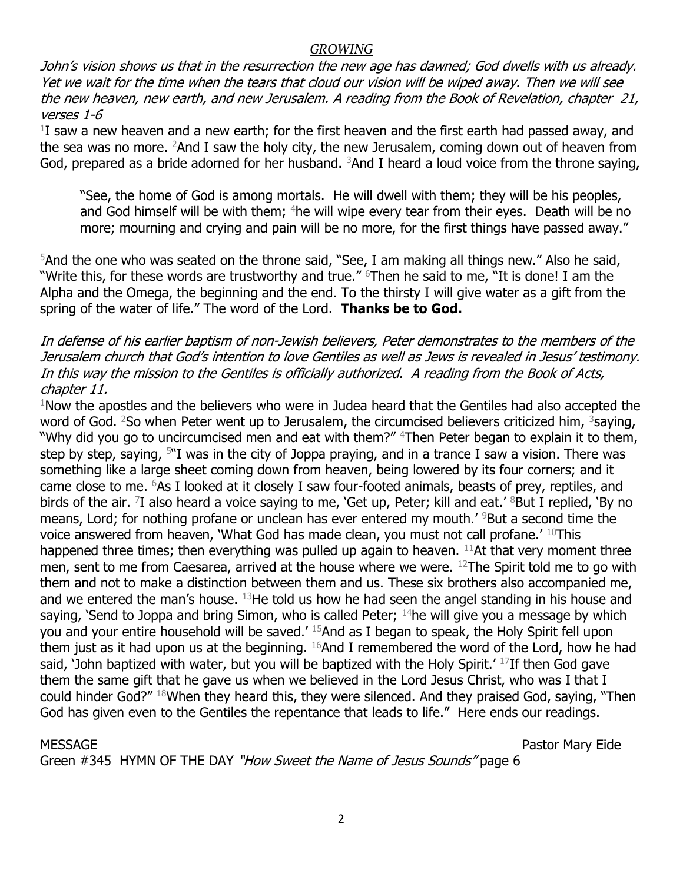#### *GROWING*

John's vision shows us that in the resurrection the new age has dawned; God dwells with us already. Yet we wait for the time when the tears that cloud our vision will be wiped away. Then we will see the new heaven, new earth, and new Jerusalem. A reading from the Book of Revelation, chapter 21, verses 1-6

 $1$ I saw a new heaven and a new earth; for the first heaven and the first earth had passed away, and the sea was no more. <sup>2</sup>And I saw the holy city, the new Jerusalem, coming down out of heaven from God, prepared as a bride adorned for her husband.  $3$ And I heard a loud voice from the throne saying,

"See, the home of God is among mortals. He will dwell with them; they will be his peoples, and God himself will be with them; <sup>4</sup>he will wipe every tear from their eyes. Death will be no more; mourning and crying and pain will be no more, for the first things have passed away."

 $5$ And the one who was seated on the throne said, "See, I am making all things new." Also he said, "Write this, for these words are trustworthy and true." <sup>6</sup>Then he said to me, "It is done! I am the Alpha and the Omega, the beginning and the end. To the thirsty I will give water as a gift from the spring of the water of life." The word of the Lord. **Thanks be to God.** 

In defense of his earlier baptism of non-Jewish believers, Peter demonstrates to the members of the Jerusalem church that God's intention to love Gentiles as well as Jews is revealed in Jesus' testimony. In this way the mission to the Gentiles is officially authorized. A reading from the Book of Acts, chapter 11.

 $1$ Now the apostles and the believers who were in Judea heard that the Gentiles had also accepted the word of God. <sup>2</sup>So when Peter went up to Jerusalem, the circumcised believers criticized him, <sup>3</sup>saying, "Why did you go to uncircumcised men and eat with them?" <sup>4</sup>Then Peter began to explain it to them, step by step, saying,  $5^{\prime\prime}$ I was in the city of Joppa praying, and in a trance I saw a vision. There was something like a large sheet coming down from heaven, being lowered by its four corners; and it came close to me. <sup>6</sup>As I looked at it closely I saw four-footed animals, beasts of prey, reptiles, and birds of the air. <sup>7</sup>I also heard a voice saying to me, 'Get up, Peter; kill and eat.' <sup>8</sup>But I replied, 'By no means, Lord; for nothing profane or unclean has ever entered my mouth.<sup>' 9</sup>But a second time the voice answered from heaven, 'What God has made clean, you must not call profane.' <sup>10</sup>This happened three times; then everything was pulled up again to heaven.  $11$ At that very moment three men, sent to me from Caesarea, arrived at the house where we were.  $^{12}$ The Spirit told me to go with them and not to make a distinction between them and us. These six brothers also accompanied me, and we entered the man's house.  $^{13}$ He told us how he had seen the angel standing in his house and saying, 'Send to Joppa and bring Simon, who is called Peter;  $14$ he will give you a message by which you and your entire household will be saved.' <sup>15</sup>And as I began to speak, the Holy Spirit fell upon them just as it had upon us at the beginning. <sup>16</sup>And I remembered the word of the Lord, how he had said, 'John baptized with water, but you will be baptized with the Holy Spirit.'  $^{17}$ If then God gave them the same gift that he gave us when we believed in the Lord Jesus Christ, who was I that I could hinder God?" <sup>18</sup>When they heard this, they were silenced. And they praised God, saying, "Then God has given even to the Gentiles the repentance that leads to life." Here ends our readings.

MESSAGE Pastor Mary Eide

Green #345 HYMN OF THE DAY "How Sweet the Name of Jesus Sounds" page 6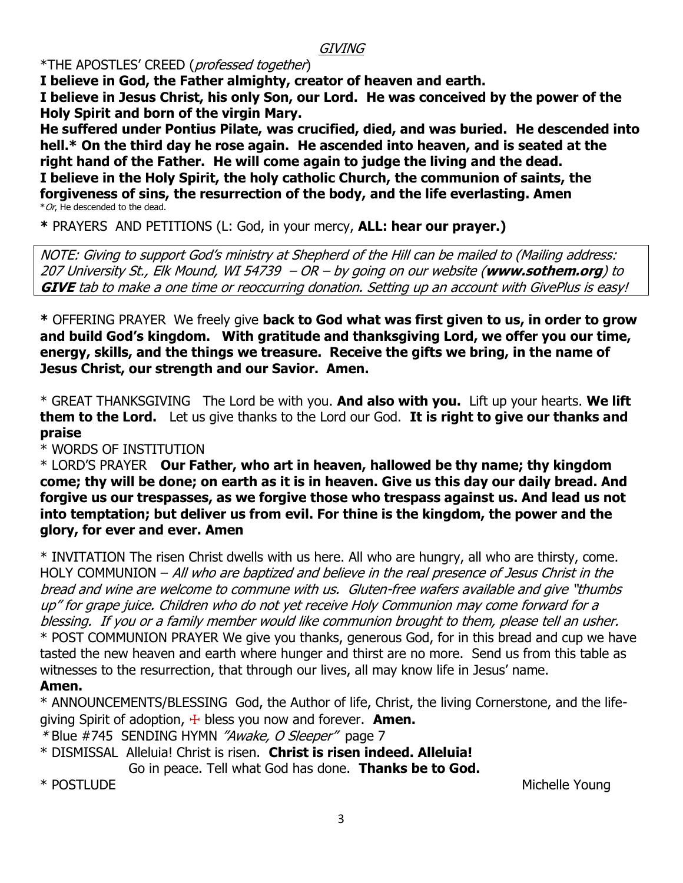### **GIVING**

\*THE APOSTLES' CREED (professed together)

**I believe in God, the Father almighty, creator of heaven and earth. I believe in Jesus Christ, his only Son, our Lord. He was conceived by the power of the Holy Spirit and born of the virgin Mary.**

**He suffered under Pontius Pilate, was crucified, died, and was buried. He descended into hell.\* On the third day he rose again. He ascended into heaven, and is seated at the right hand of the Father. He will come again to judge the living and the dead. I believe in the Holy Spirit, the holy catholic Church, the communion of saints, the forgiveness of sins, the resurrection of the body, and the life everlasting. Amen**  $*$  Or, He descended to the dead.

**\*** PRAYERS AND PETITIONS (L: God, in your mercy, **ALL: hear our prayer.)**

NOTE: Giving to support God's ministry at Shepherd of the Hill can be mailed to (Mailing address: 207 University St., Elk Mound, WI 54739 – OR – by going on our website (**www.sothem.org**) to **GIVE** tab to make a one time or reoccurring donation. Setting up an account with GivePlus is easy!

**\*** OFFERING PRAYERWe freely give **back to God what was first given to us, in order to grow and build God's kingdom. With gratitude and thanksgiving Lord, we offer you our time, energy, skills, and the things we treasure. Receive the gifts we bring, in the name of Jesus Christ, our strength and our Savior. Amen.** 

\* GREAT THANKSGIVING The Lord be with you. **And also with you.** Lift up your hearts. **We lift them to the Lord.** Let us give thanks to the Lord our God. **It is right to give our thanks and praise**

\* WORDS OF INSTITUTION

\* LORD'S PRAYER **Our Father, who art in heaven, hallowed be thy name; thy kingdom come; thy will be done; on earth as it is in heaven. Give us this day our daily bread. And forgive us our trespasses, as we forgive those who trespass against us. And lead us not into temptation; but deliver us from evil. For thine is the kingdom, the power and the glory, for ever and ever. Amen**

\* INVITATION The risen Christ dwells with us here. All who are hungry, all who are thirsty, come. HOLY COMMUNION – All who are baptized and believe in the real presence of Jesus Christ in the bread and wine are welcome to commune with us. Gluten-free wafers available and give "thumbs up" for grape juice. Children who do not yet receive Holy Communion may come forward for a blessing. If you or a family member would like communion brought to them, please tell an usher. \* POST COMMUNION PRAYER We give you thanks, generous God, for in this bread and cup we have tasted the new heaven and earth where hunger and thirst are no more. Send us from this table as witnesses to the resurrection, that through our lives, all may know life in Jesus' name.

#### **Amen.**

\* ANNOUNCEMENTS/BLESSING God, the Author of life, Christ, the living Cornerstone, and the lifegiving Spirit of adoption, ☩ bless you now and forever. **Amen.**

\*Blue #745 SENDING HYMN *"Awake, O Sleeper"* page 7

\* DISMISSAL Alleluia! Christ is risen. **Christ is risen indeed. Alleluia!** Go in peace. Tell what God has done. **Thanks be to God.**

\* POSTLUDE And the Michelle Young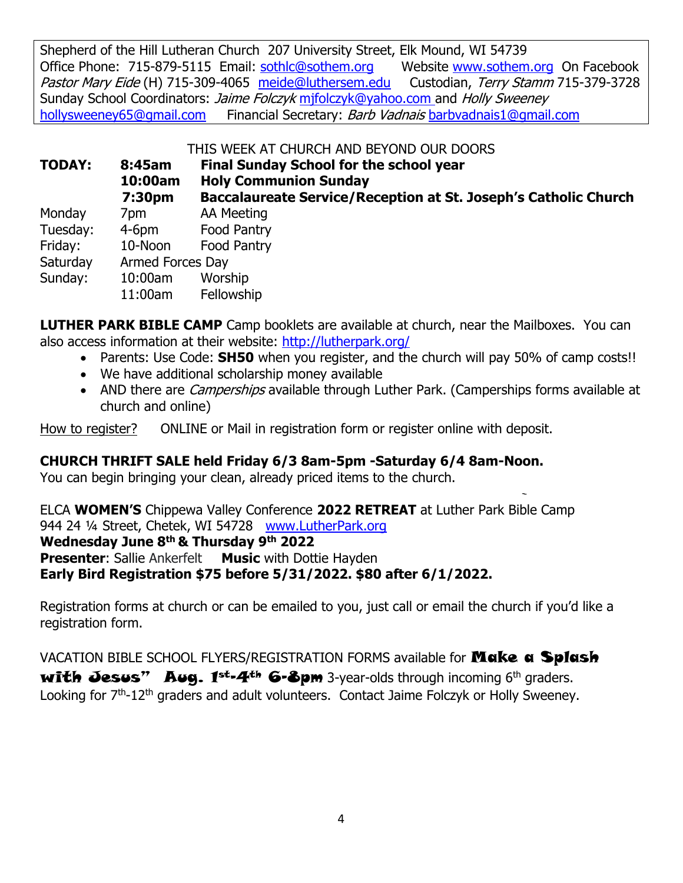Shepherd of the Hill Lutheran Church 207 University Street, Elk Mound, WI 54739 Office Phone: 715-879-5115 Email: [sothlc@sothem.org](mailto:sothlc@sothem.org) Website [www.sothem.org](http://www.sothem.org/) On Facebook Pastor Mary Eide (H) 715-309-4065 [meide@luthersem.edu](mailto:meide@luthersem.edu) Custodian, Terry Stamm 715-379-3728 Sunday School Coordinators: *Jaime Folczyk* mifolczyk@yahoo.com and Holly Sweeney [hollysweeney65@gmail.com](mailto:hollysweeney65@gmail.com) Financial Secretary: Barb Vadnais [barbvadnais1@gmail.com](mailto:barbvadnais1@gmail.com)

THIS WEEK AT CHURCH AND BEYOND OUR DOORS

| <b>TODAY:</b> | 8:45am<br>10:00am<br>7:30pm | <b>Final Sunday School for the school year</b><br><b>Holy Communion Sunday</b><br><b>Baccalaureate Service/Reception at St. Joseph's Catholic Church</b> |
|---------------|-----------------------------|----------------------------------------------------------------------------------------------------------------------------------------------------------|
| Monday        | 7pm.                        | AA Meeting                                                                                                                                               |
| Tuesday:      | $4-6pm$                     | <b>Food Pantry</b>                                                                                                                                       |
| Friday:       | 10-Noon                     | <b>Food Pantry</b>                                                                                                                                       |
| Saturday      | <b>Armed Forces Day</b>     |                                                                                                                                                          |
| Sunday:       | 10:00am<br>11:00am          | Worship<br>Fellowship                                                                                                                                    |

**LUTHER PARK BIBLE CAMP** Camp booklets are available at church, near the Mailboxes. You can also access information at their website:<http://lutherpark.org/>

- Parents: Use Code: **SH50** when you register, and the church will pay 50% of camp costs!!
- We have additional scholarship money available
- AND there are *Camperships* available through Luther Park. (Camperships forms available at church and online)

How to register? ONLINE or Mail in registration form or register online with deposit.

# **CHURCH THRIFT SALE held Friday 6/3 8am-5pm -Saturday 6/4 8am-Noon.**

You can begin bringing your clean, already priced items to the church.

ELCA **WOMEN'S** Chippewa Valley Conference **2022 RETREAT** at Luther Park Bible Camp 944 24 ¼ Street, Chetek, WI 54728 [www.LutherPark.org](http://www.lutherpark.org/) **Wednesday June 8th & Thursday 9th 2022 Presenter:** Sallie Ankerfelt Music with Dottie Hayden **Early Bird Registration \$75 before 5/31/2022. \$80 after 6/1/2022.** 

Registration forms at church or can be emailed to you, just call or email the church if you'd like a registration form.

VACATION BIBLE SCHOOL FLYERS/REGISTRATION FORMS available for **Make a Splash** with Jesus" Aug.  $1^{st-4^{th}}$  6-8pm 3-year-olds through incoming 6<sup>th</sup> graders. Looking for 7<sup>th</sup>-12<sup>th</sup> graders and adult volunteers. Contact Jaime Folczyk or Holly Sweeney.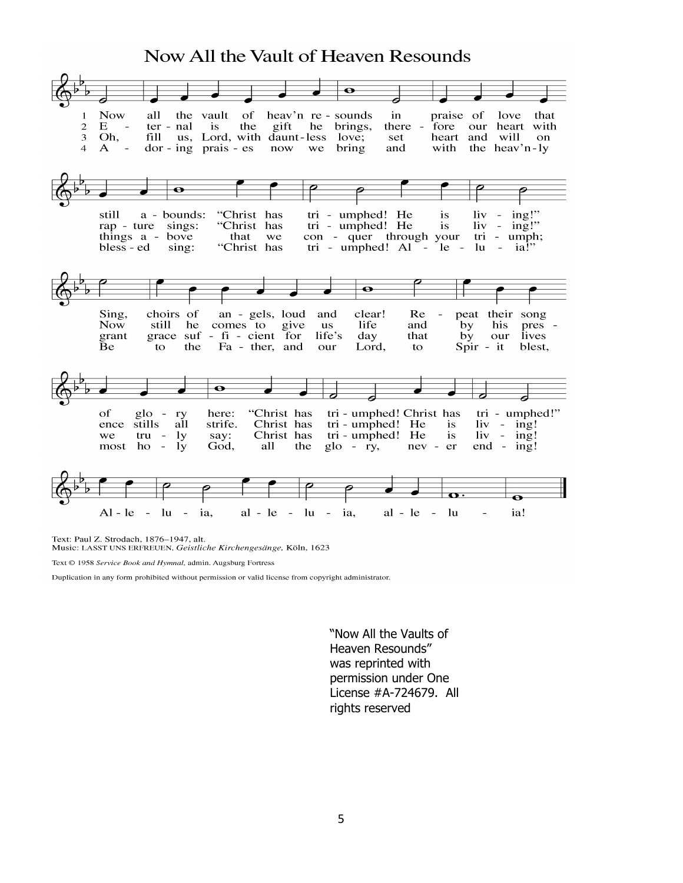## Now All the Vault of Heaven Resounds



Text: Paul Z. Strodach, 1876-1947, alt.

Music: LASST UNS ERFREUEN, Geistliche Kirchengesänge, Köln, 1623

Text © 1958 Service Book and Hymnal, admin. Augsburg Fortress

Duplication in any form prohibited without permission or valid license from copyright administrator.

"Now All the Vaults of Heaven Resounds" was reprinted with permission under One License #A-724679. All rights reserved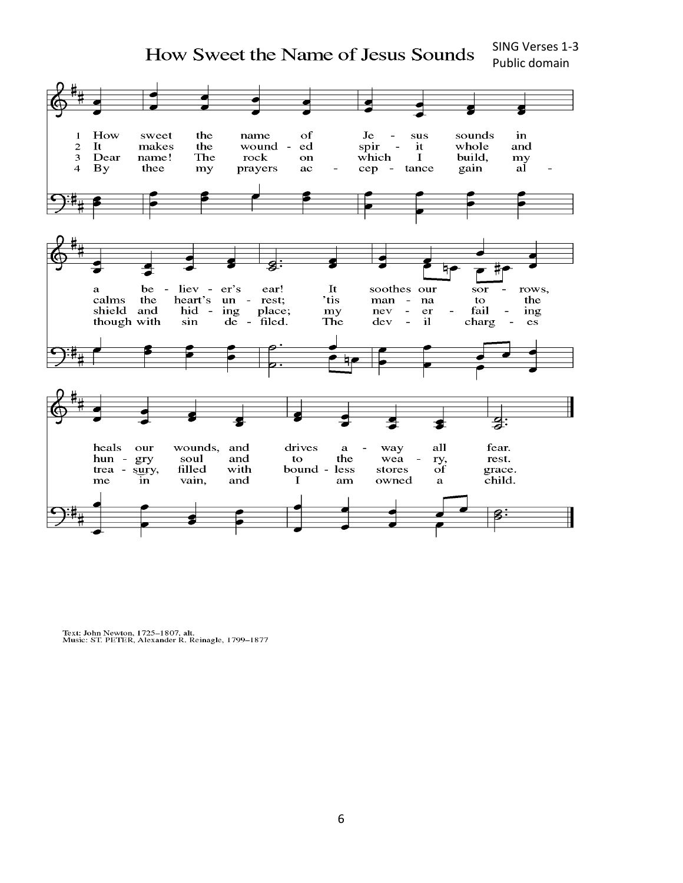SING Verses 1-3 How Sweet the Name of Jesus Sounds Public domain



Text: John Newton, 1725–1807, alt.<br>Music: ST. PETER, Alexander R. Reinagle, 1799–1877